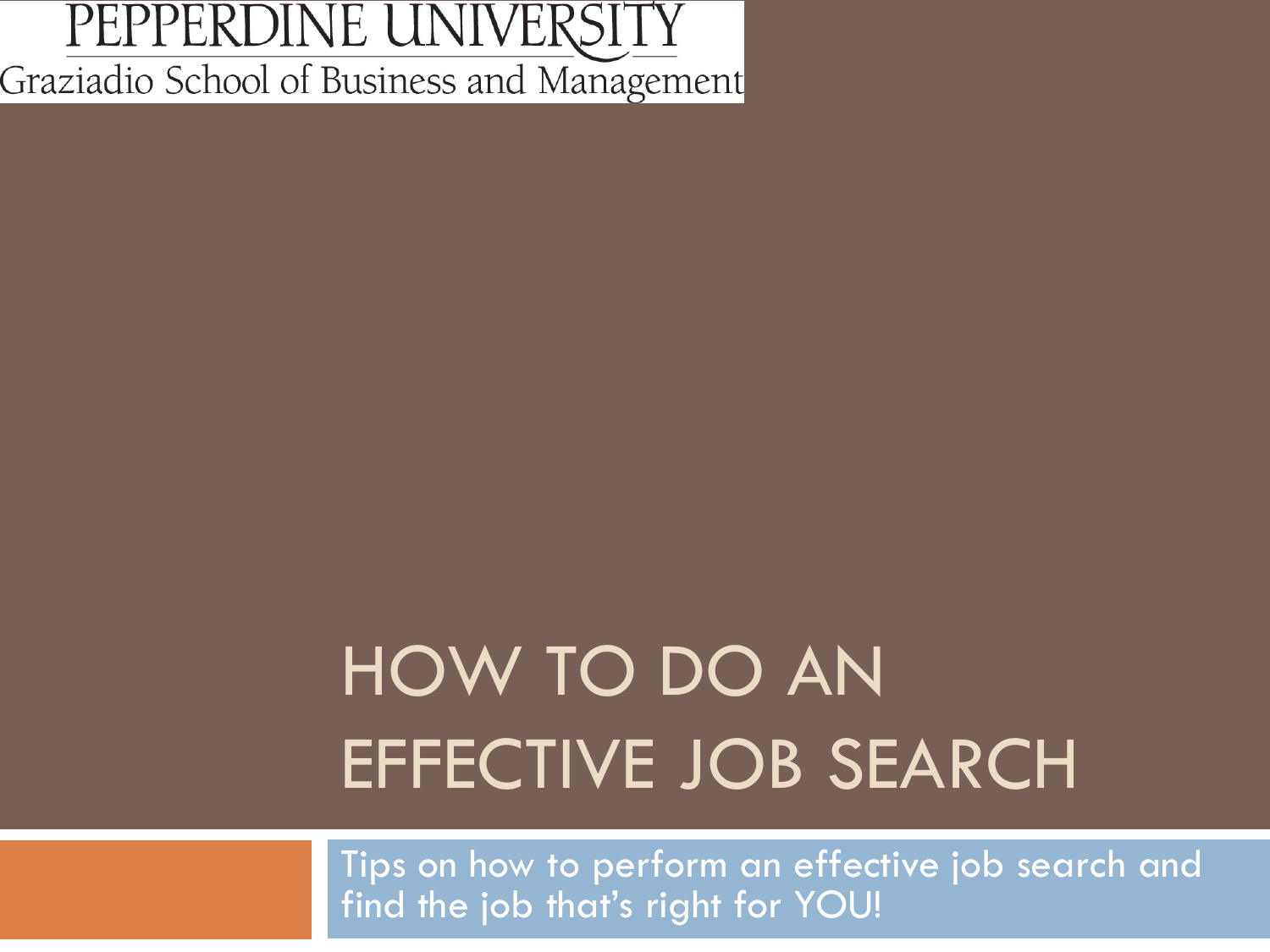#### PEPPERDINE UNIVERSITY Graziadio School of Business and Management

# HOW TO DO AN EFFECTIVE JOB SEARCH

Tips on how to perform an effective job search and find the job that's right for YOU!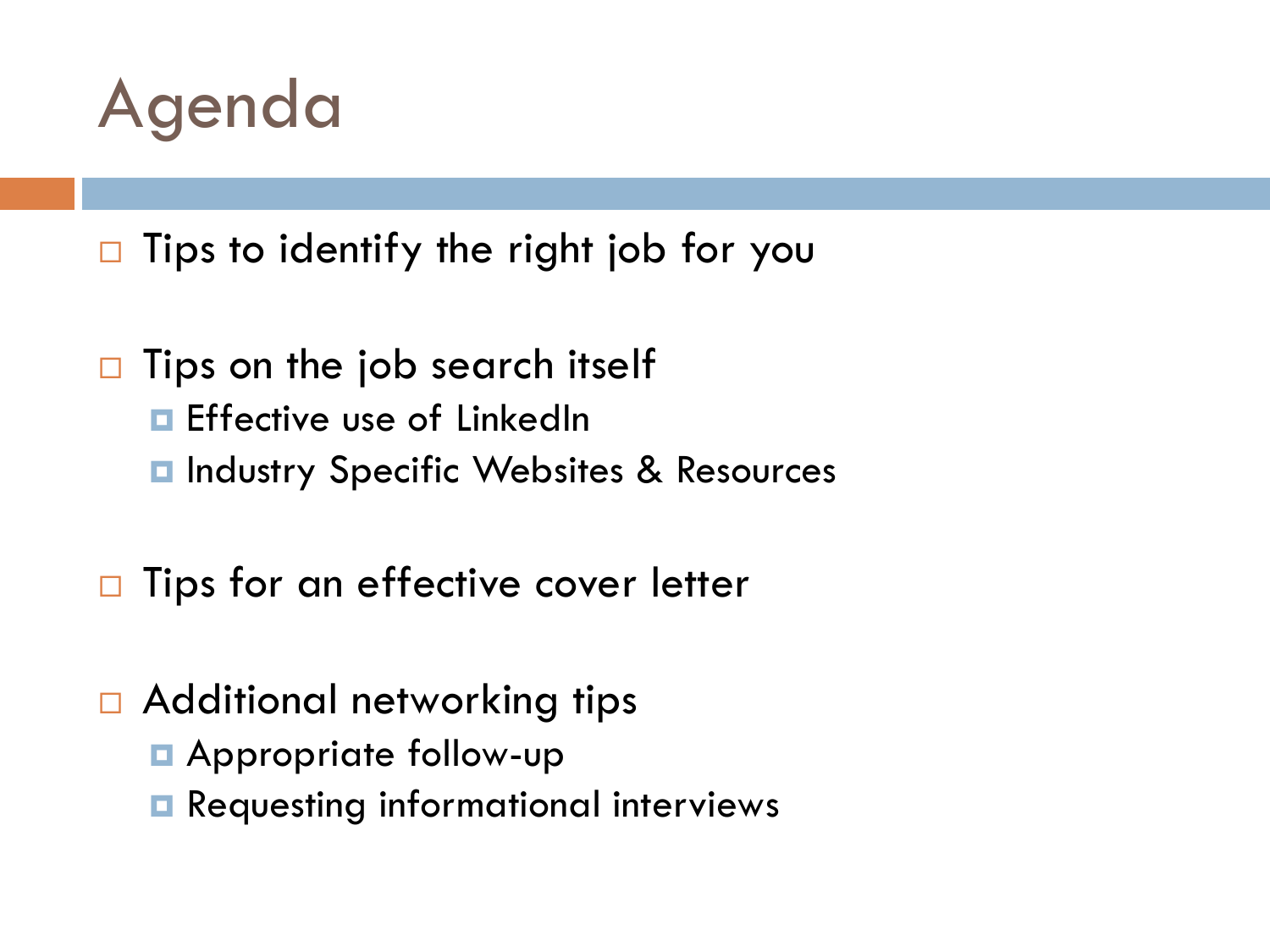

 $\Box$  Tips to identify the right job for you

- $\Box$  Tips on the job search itself
	- **E** Effective use of LinkedIn
	- **E** Industry Specific Websites & Resources
- $\Box$  Tips for an effective cover letter
- □ Additional networking tips
	- **E** Appropriate follow-up
	- **Requesting informational interviews**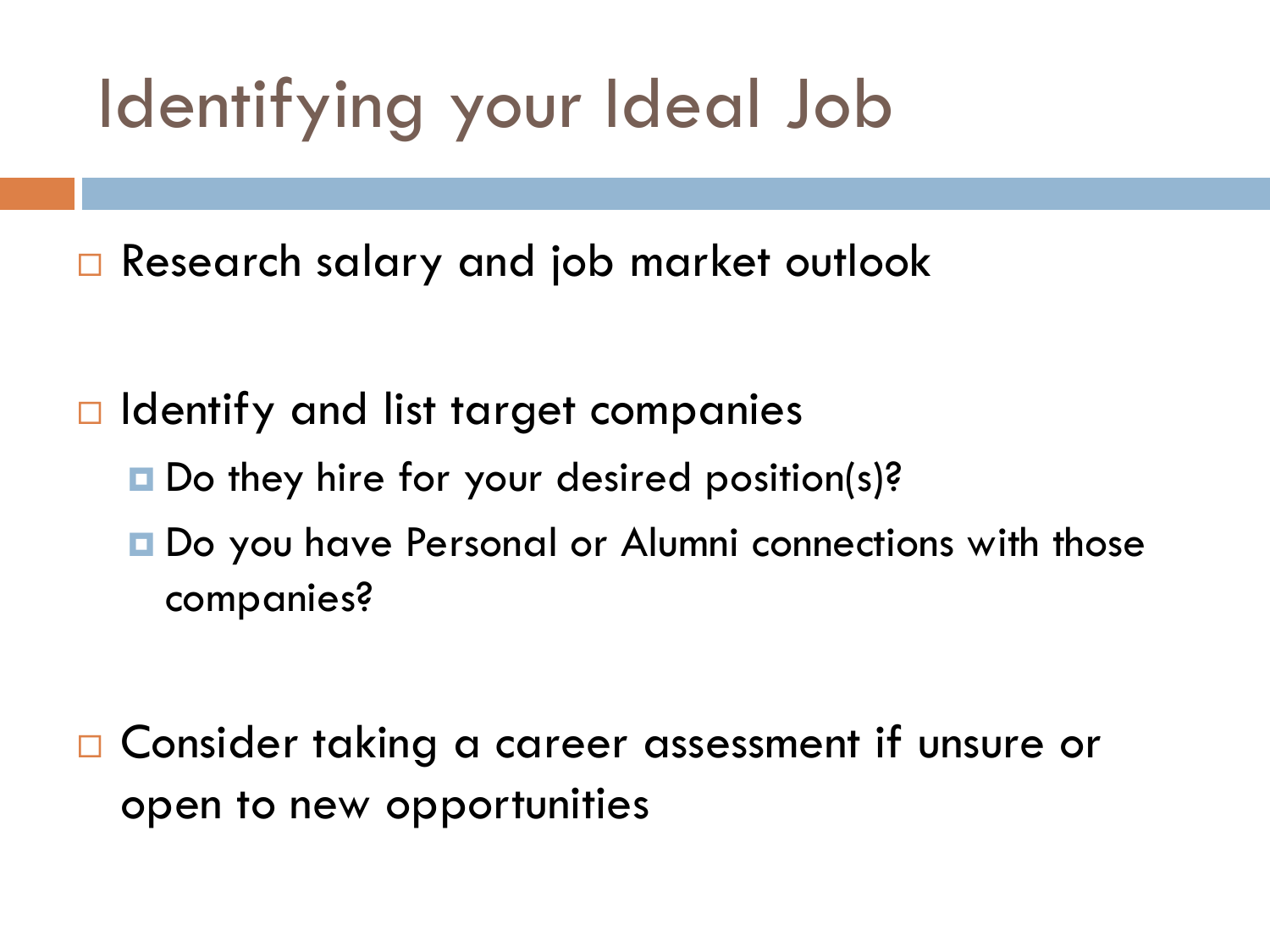# Identifying your Ideal Job

**□** Research salary and job market outlook

 $\Box$  Identify and list target companies

- Do they hire for your desired position(s)?
- **□** Do you have Personal or Alumni connections with those companies?

 Consider taking a career assessment if unsure or open to new opportunities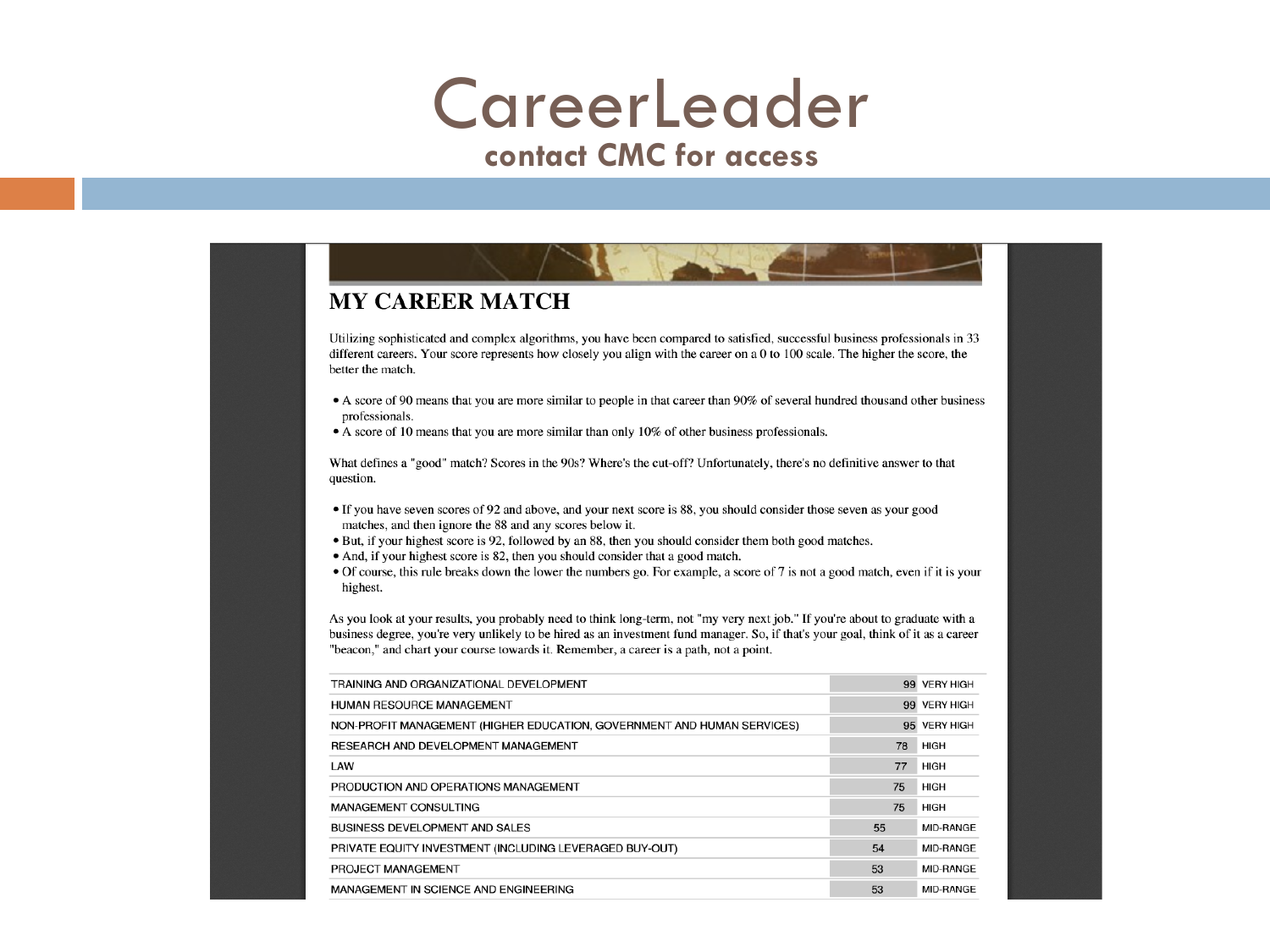### **CareerLeader**

#### **contact CMC for access**

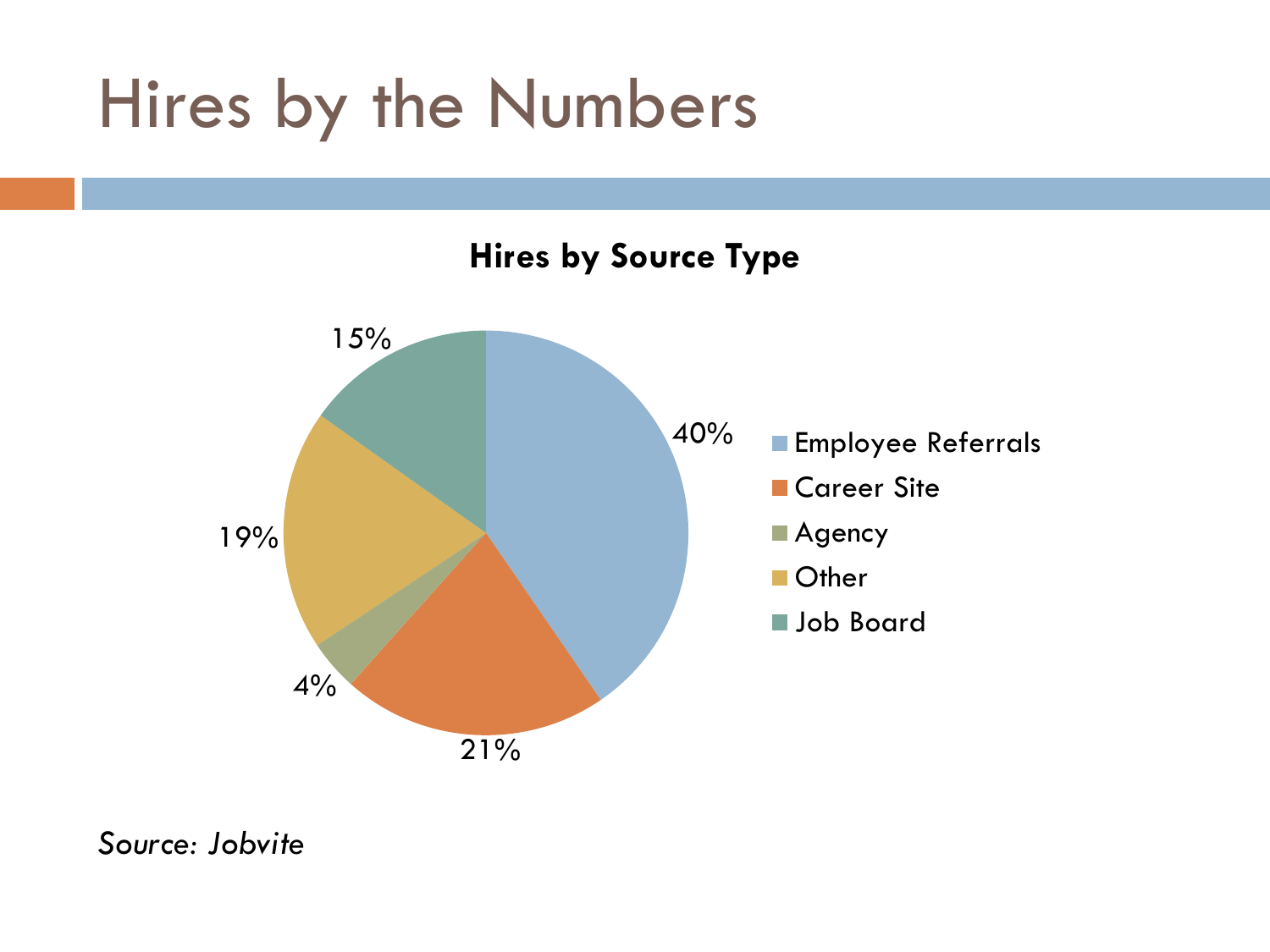## Hires by the Numbers



*Source: Jobvite*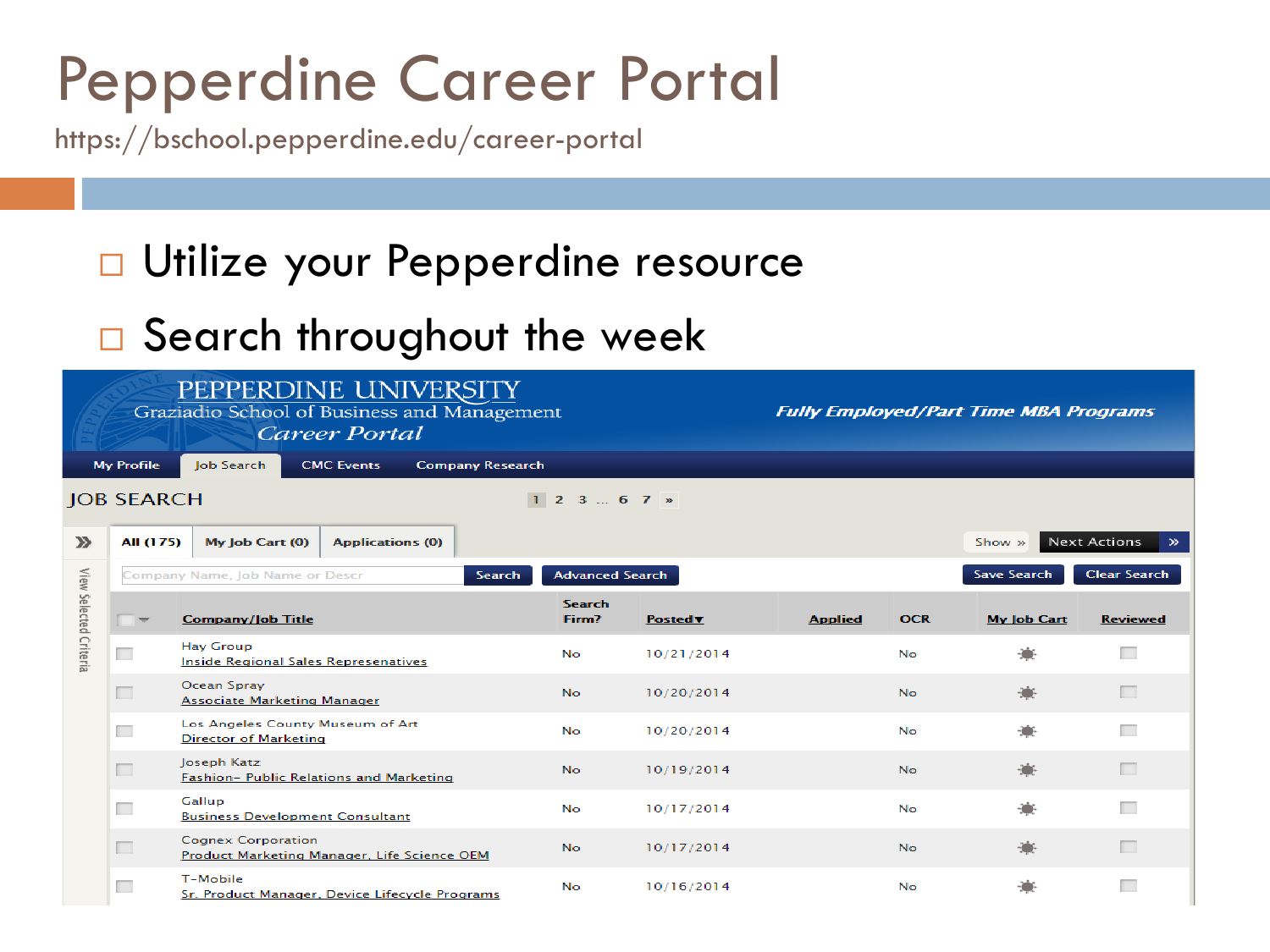### Pepperdine Career Portal

https://bschool.pepperdine.edu/career-portal

### □ Utilize your Pepperdine resource

### □ Search throughout the week

| PEPPERDINE UNIVERSITY<br>Graziadio School of Business and Management<br><b>Career Portal</b> |                                           |                                                                          |                         |                         |                 |                | <b>Fully Employed/Part Time MBA Programs</b> |                    |                     |                       |
|----------------------------------------------------------------------------------------------|-------------------------------------------|--------------------------------------------------------------------------|-------------------------|-------------------------|-----------------|----------------|----------------------------------------------|--------------------|---------------------|-----------------------|
| <b>My Profile</b><br>Job Search                                                              |                                           |                                                                          | <b>CMC Events</b>       | <b>Company Research</b> |                 |                |                                              |                    |                     |                       |
| <b>JOB SEARCH</b><br>$1 \t2 \t3 \t \t6 \t7 \t m$                                             |                                           |                                                                          |                         |                         |                 |                |                                              |                    |                     |                       |
| $\mathbf{v}$                                                                                 | All (175)                                 | $My$ Job Cart $(0)$                                                      | <b>Applications (0)</b> |                         |                 |                |                                              |                    | Show »              | Next Actions<br>$\gg$ |
| View Selected Criteria                                                                       | Company Name, Job Name or Descr<br>Search |                                                                          |                         | <b>Advanced Search</b>  |                 |                |                                              | <b>Save Search</b> | <b>Clear Search</b> |                       |
|                                                                                              |                                           | <b>Company/Job Title</b>                                                 |                         |                         | Search<br>Firm? | <b>Postedv</b> | <b>Applied</b>                               | <b>OCR</b>         | <b>My Job Cart</b>  | <b>Reviewed</b>       |
|                                                                                              | Œ                                         | <b>Hay Group</b><br><b>Inside Regional Sales Represenatives</b>          |                         |                         | <b>No</b>       | 10/21/2014     |                                              | <b>No</b>          |                     | m                     |
|                                                                                              | $\Box$                                    | Ocean Spray<br>Associate Marketing Manager                               |                         |                         | No.             | 10/20/2014     |                                              | <b>No</b>          |                     | п                     |
|                                                                                              | П                                         | Los Angeles County Museum of Art<br><b>Director of Marketing</b>         |                         |                         | <b>No</b>       | 10/20/2014     |                                              | <b>No</b>          |                     | П                     |
|                                                                                              |                                           | Joseph Katz<br>Fashion- Public Relations and Marketing                   |                         |                         | No.             | 10/19/2014     |                                              | <b>No</b>          |                     | п                     |
|                                                                                              | Œ                                         | Gallup<br><b>Business Development Consultant</b>                         |                         |                         | <b>No</b>       | 10/17/2014     |                                              | <b>No</b>          |                     | П                     |
|                                                                                              | $\Box$                                    | <b>Cognex Corporation</b><br>Product Marketing Manager, Life Science OEM |                         |                         | No.             | 10/17/2014     |                                              | <b>No</b>          |                     | $\Box$                |
|                                                                                              | П                                         | T-Mobile<br>Sr. Product Manager, Device Lifecycle Programs               |                         |                         | No.             | 10/16/2014     |                                              | No                 |                     | П                     |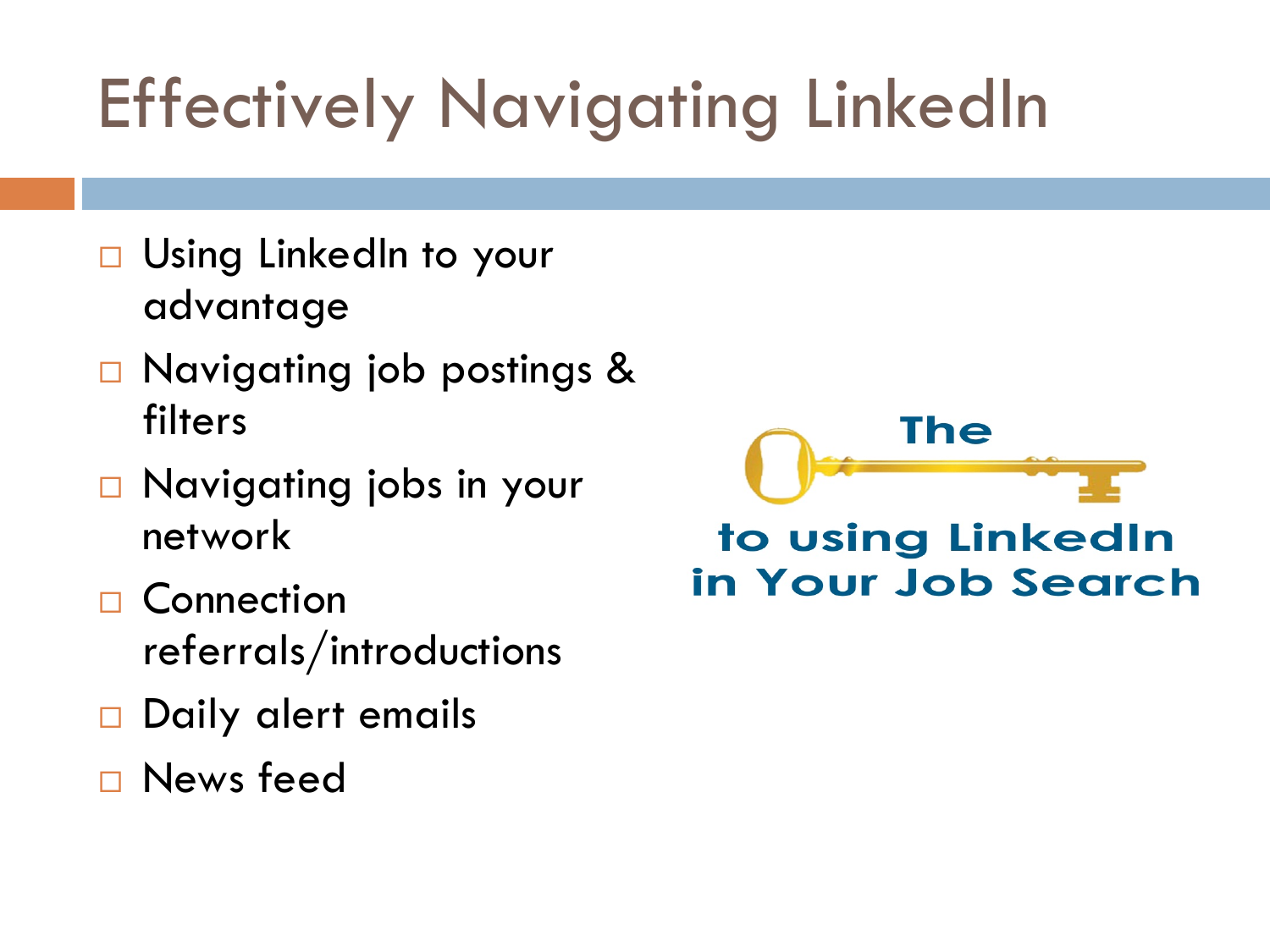# Effectively Navigating LinkedIn

- Using LinkedIn to your advantage
- Navigating job postings & filters
- □ Navigating jobs in your network
- □ Connection referrals/introductions
- Daily alert emails
- News feed



to using LinkedIn in Your Job Search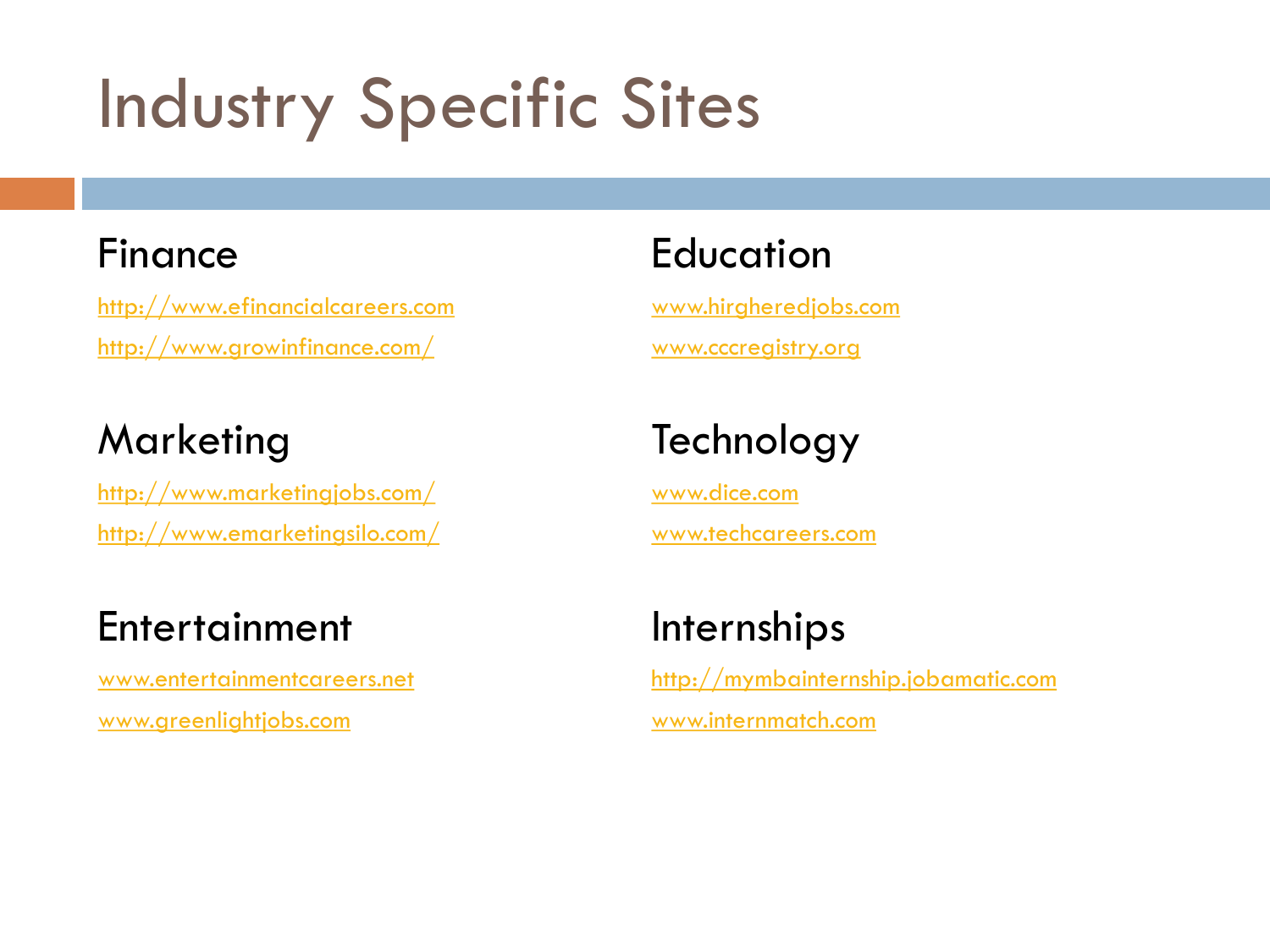# Industry Specific Sites

#### Finance

[http://www.efinancialcareers.com](http://www.efinancialcareers.com/) <http://www.growinfinance.com/>

#### **Marketing**

<http://www.marketingjobs.com/> <http://www.emarketingsilo.com/>

#### **Entertainment**

[www.entertainmentcareers.net](http://www.entertainmentcareers.net/) [www.greenlightjobs.com](http://www.greenlightjobs.com/)

#### **Education**

[www.hirgheredjobs.com](http://www.hirgheredjobs.com/) [www.cccregistry.org](http://www.cccregistry.org/)

### **Technology**

[www.dice.com](http://www.dice.com/) [www.techcareers.com](http://www.techcareers.com/)

#### Internships

[http://mymbainternship.jobamatic.com](http://mymbainternship.jobamatic.com/) [www.internmatch.com](http://www.internmatch.com/)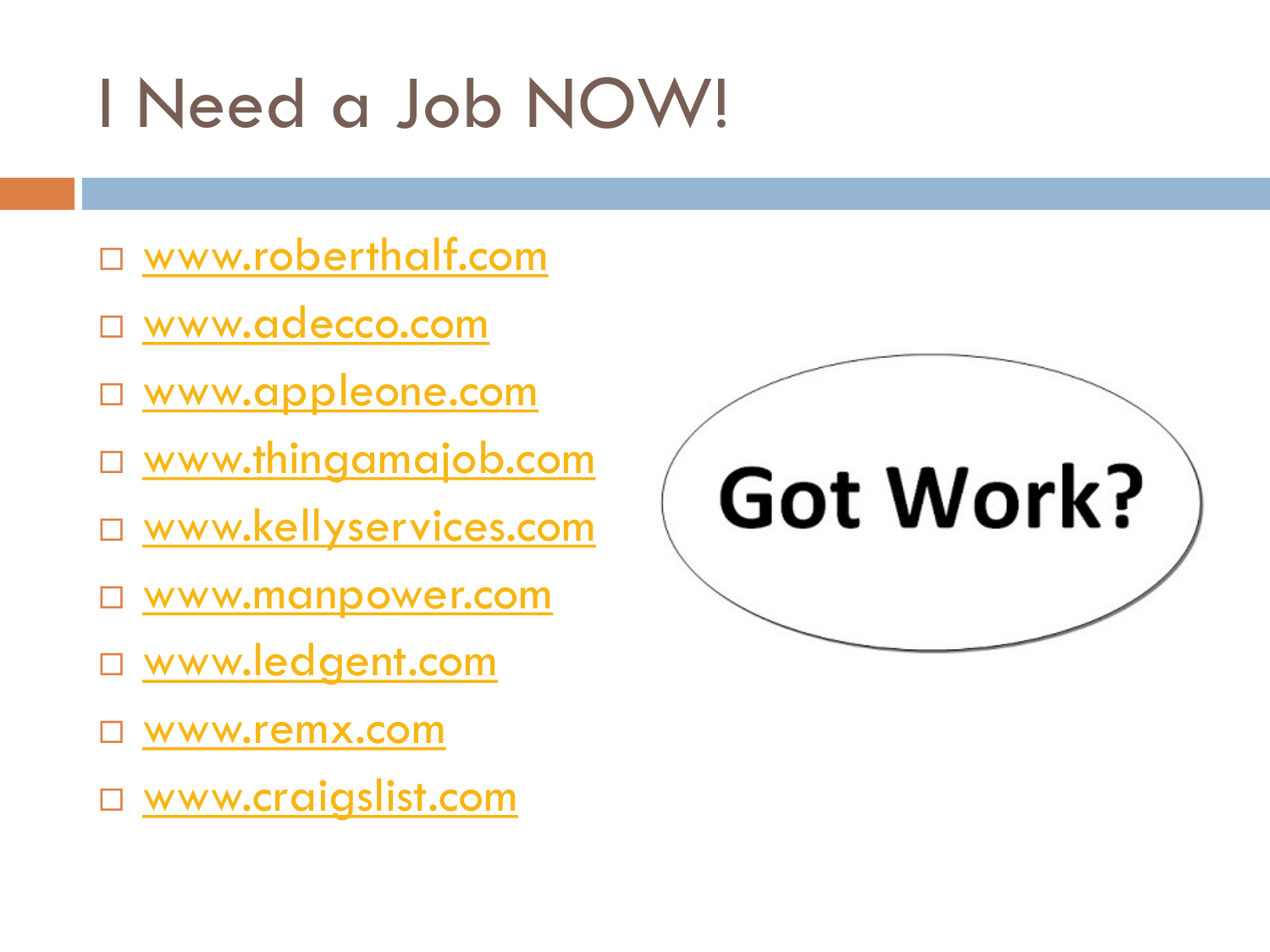# I Need a Job NOW!

- [www.roberthalf.com](http://www.roberthalf.com/)
- [www.adecco.com](http://www.adecco.com/)
- □ [www.appleone.com](http://www.appleone.com/)
- □ [www.thingamajob.com](http://www.thingamajob.com/)
- □ [www.kellyservices.com](http://www.kellyservices.com/)
- □ [www.manpower.com](http://www.manpower.com/)
- [www.ledgent.com](http://www.ledgent.com/)
- [www.remx.com](http://us.randstad.com/)
- □ [www.craigslist.com](http://www.craigslist.com/)

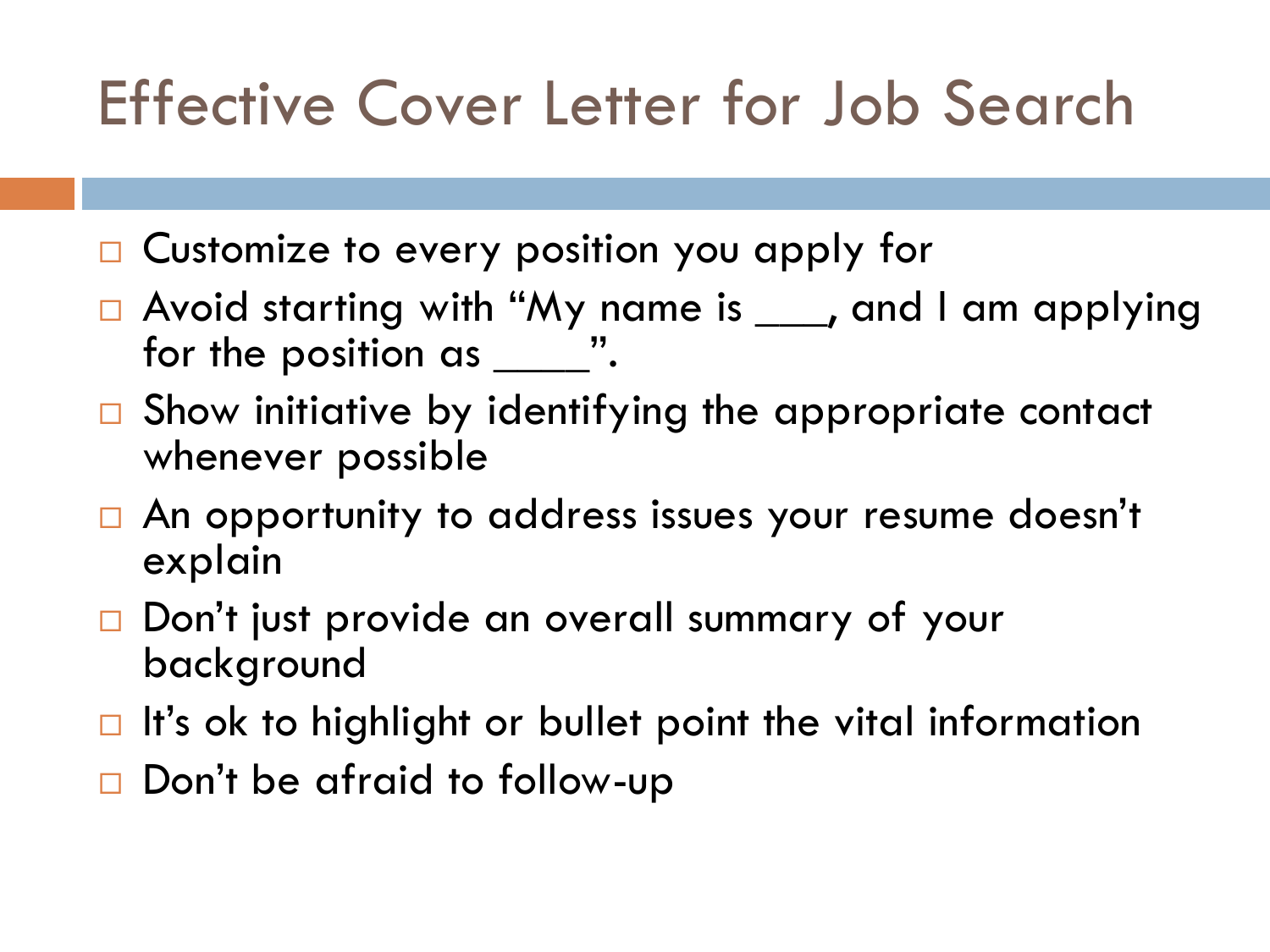### Effective Cover Letter for Job Search

- □ Customize to every position you apply for
- □ Avoid starting with "My name is <u>wea</u>, and I am applying for the position as \_\_\_\_\_\_".
- $\Box$  Show initiative by identifying the appropriate contact whenever possible
- □ An opportunity to address issues your resume doesn't explain
- □ Don't just provide an overall summary of your background
- $\Box$  It's ok to highlight or bullet point the vital information
- $\Box$  Don't be afraid to follow-up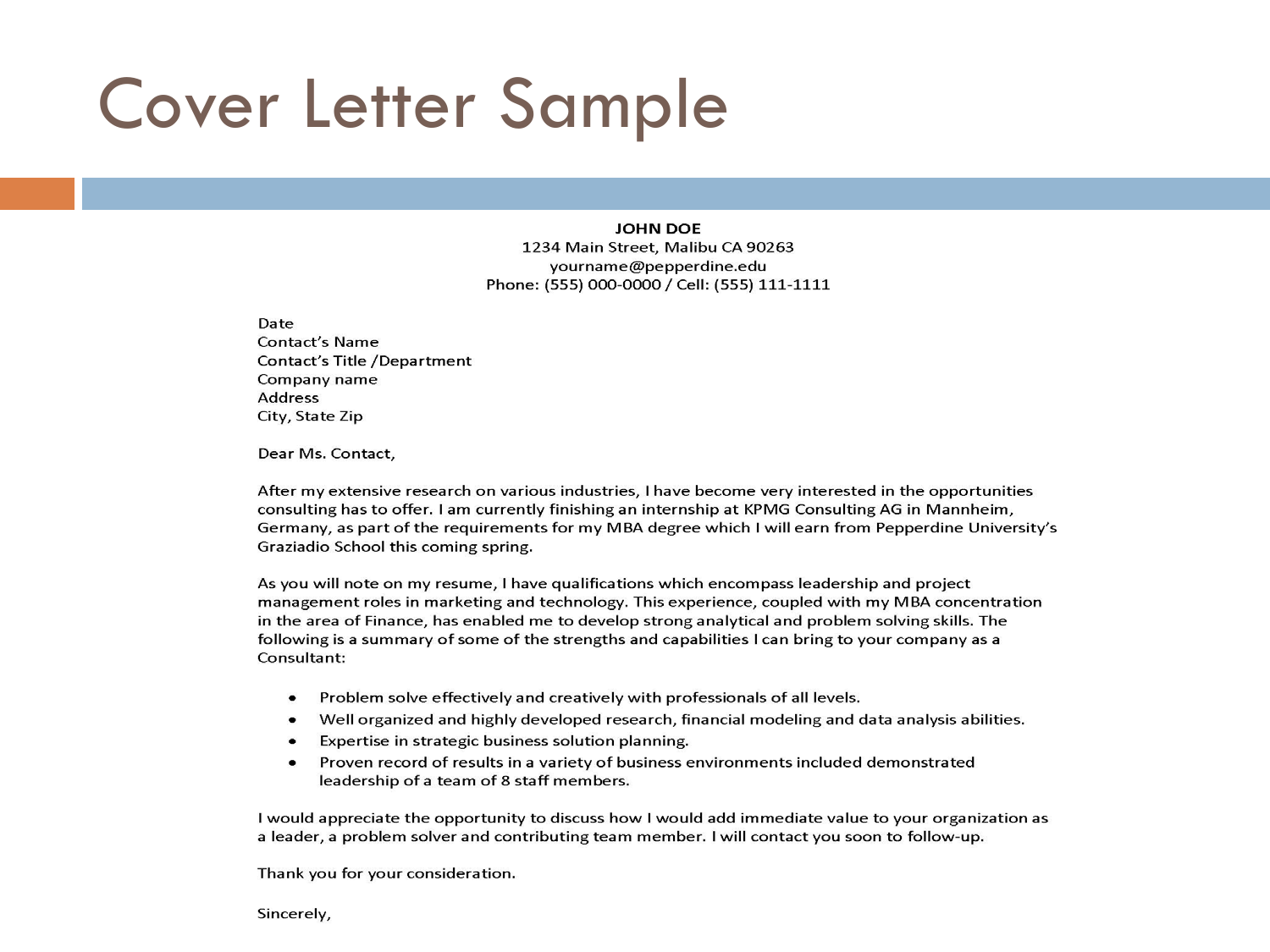### Cover Letter Sample

#### **JOHN DOE**

1234 Main Street, Malibu CA 90263 yourname@pepperdine.edu Phone: (555) 000-0000 / Cell: (555) 111-1111

Date Contact's Name Contact's Title /Department Company name **Address** City, State Zip

Dear Ms. Contact,

After my extensive research on various industries, I have become very interested in the opportunities consulting has to offer. I am currently finishing an internship at KPMG Consulting AG in Mannheim, Germany, as part of the requirements for my MBA degree which I will earn from Pepperdine University's Graziadio School this coming spring.

As you will note on my resume, I have qualifications which encompass leadership and project management roles in marketing and technology. This experience, coupled with my MBA concentration in the area of Finance, has enabled me to develop strong analytical and problem solving skills. The following is a summary of some of the strengths and capabilities I can bring to your company as a Consultant:

- $\bullet$ Problem solve effectively and creatively with professionals of all levels.
- Well organized and highly developed research, financial modeling and data analysis abilities.
- Expertise in strategic business solution planning.  $\bullet$
- Proven record of results in a variety of business environments included demonstrated  $\bullet$ leadership of a team of 8 staff members.

I would appreciate the opportunity to discuss how I would add immediate value to your organization as a leader, a problem solver and contributing team member. I will contact you soon to follow-up.

Thank you for your consideration.

Sincerely,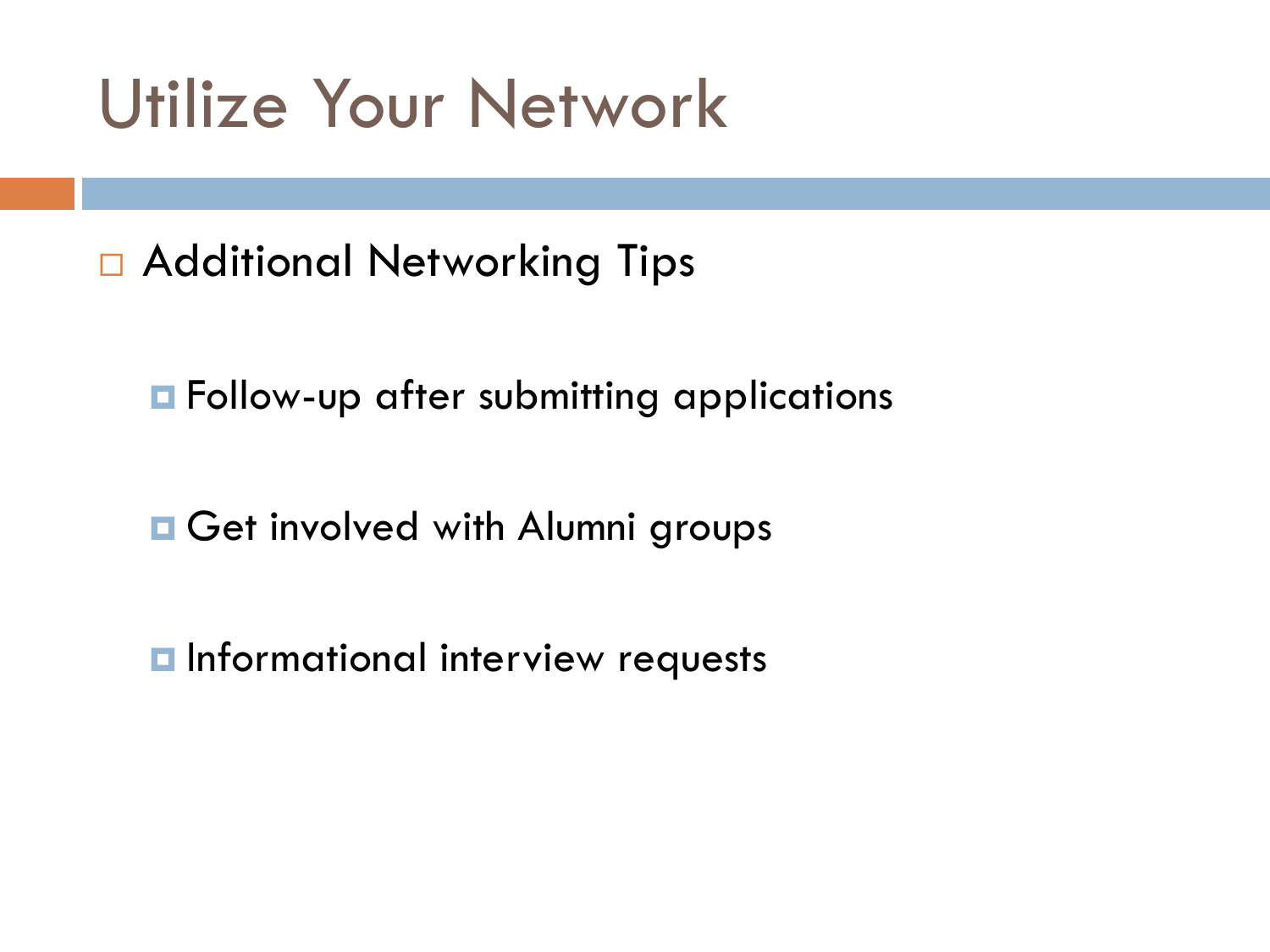### Utilize Your Network

□ Additional Networking Tips

**E** Follow-up after submitting applications

**□ Get involved with Alumni groups** 

**n** Informational interview requests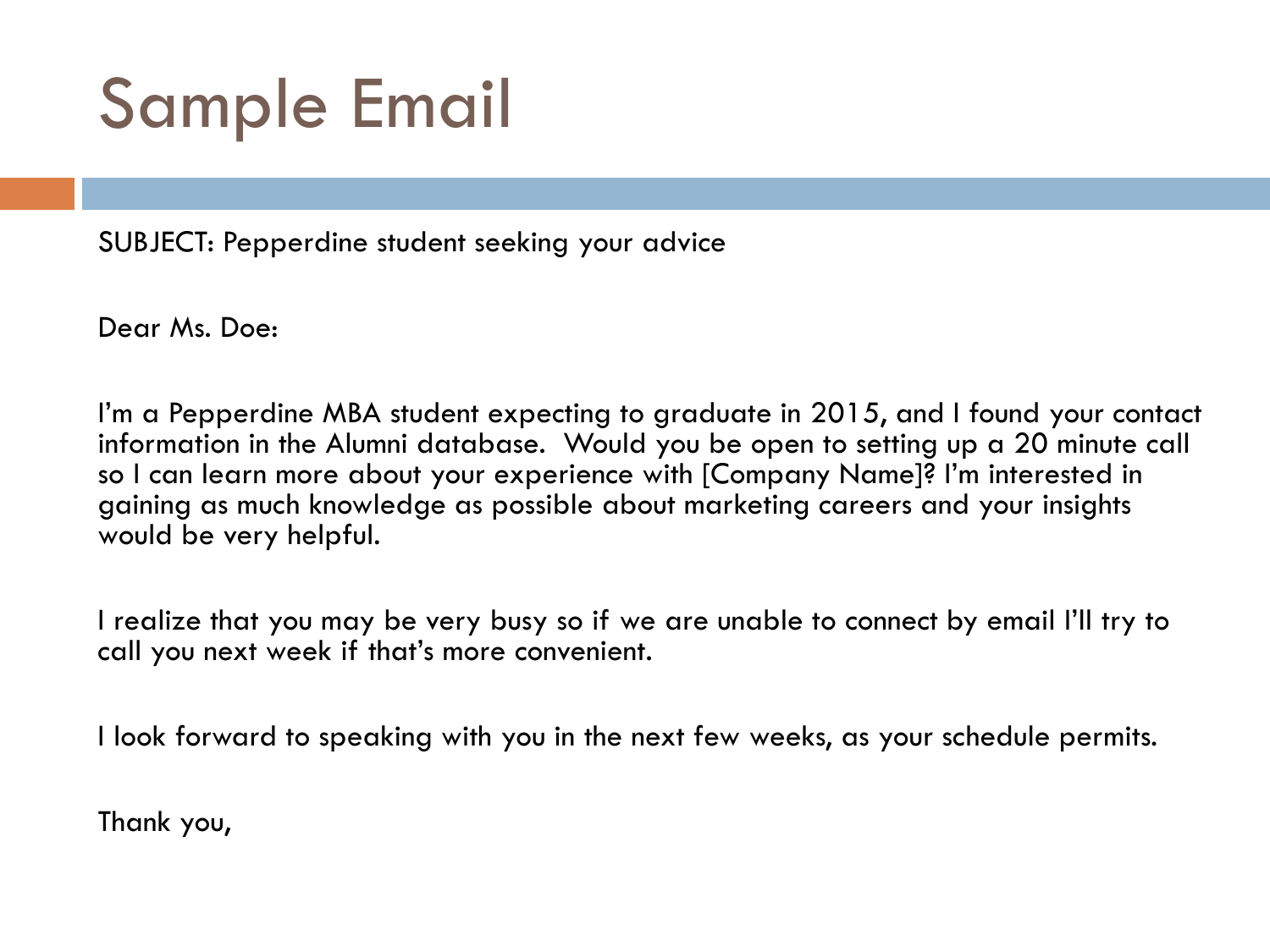## Sample Email

SUBJECT: Pepperdine student seeking your advice

Dear Ms. Doe:

I'm a Pepperdine MBA student expecting to graduate in 2015, and I found your contact information in the Alumni database. Would you be open to setting up a 20 minute call so I can learn more about your experience with [Company Name]? I'm interested in gaining as much knowledge as possible about marketing careers and your insights would be very helpful.

I realize that you may be very busy so if we are unable to connect by email I'll try to call you next week if that's more convenient.

I look forward to speaking with you in the next few weeks, as your schedule permits.

Thank you,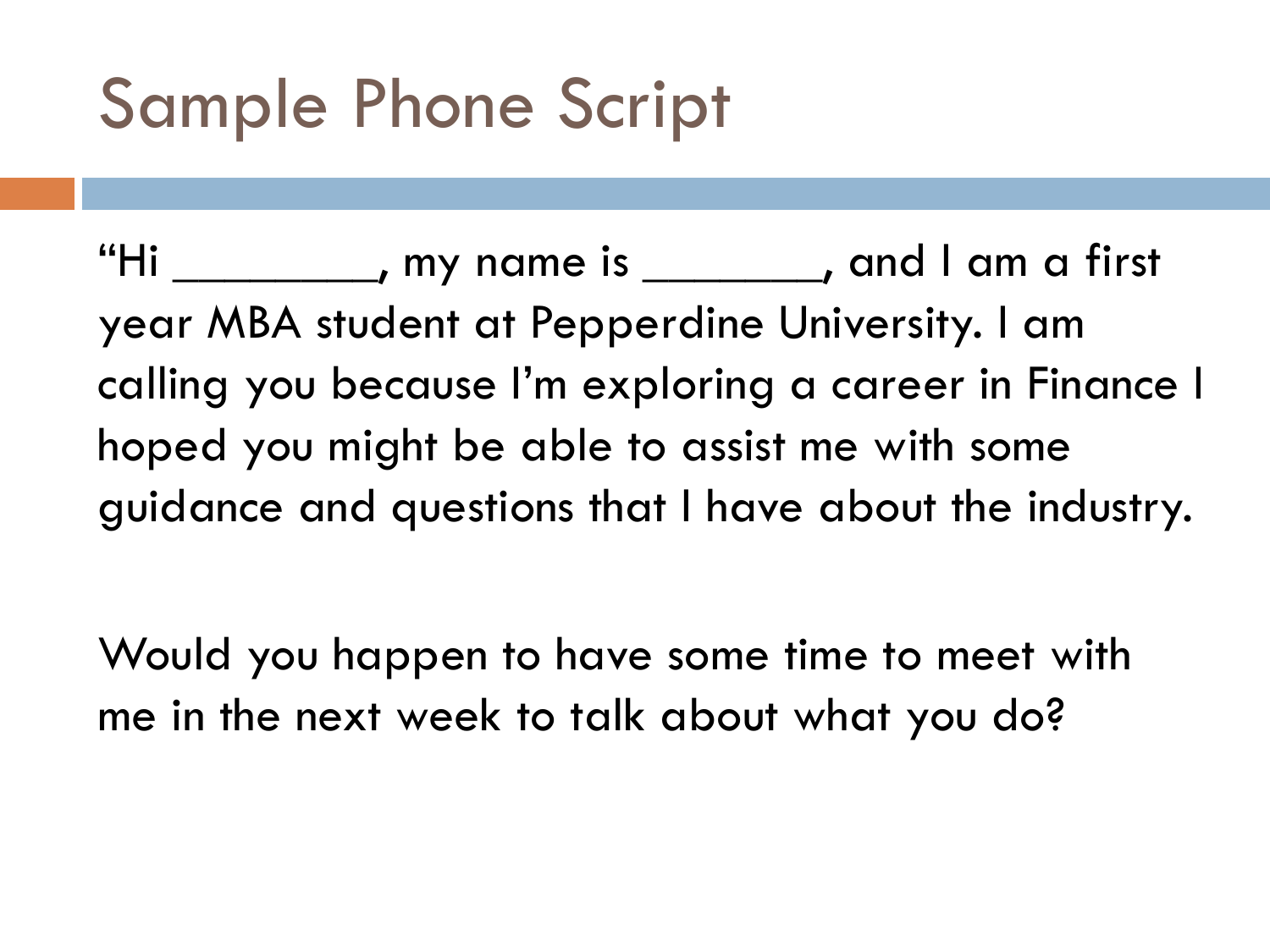# Sample Phone Script

"Hi \_\_\_\_\_\_\_\_, my name is \_\_\_\_\_\_\_, and I am a first year MBA student at Pepperdine University. I am calling you because I'm exploring a career in Finance I hoped you might be able to assist me with some guidance and questions that I have about the industry.

Would you happen to have some time to meet with me in the next week to talk about what you do?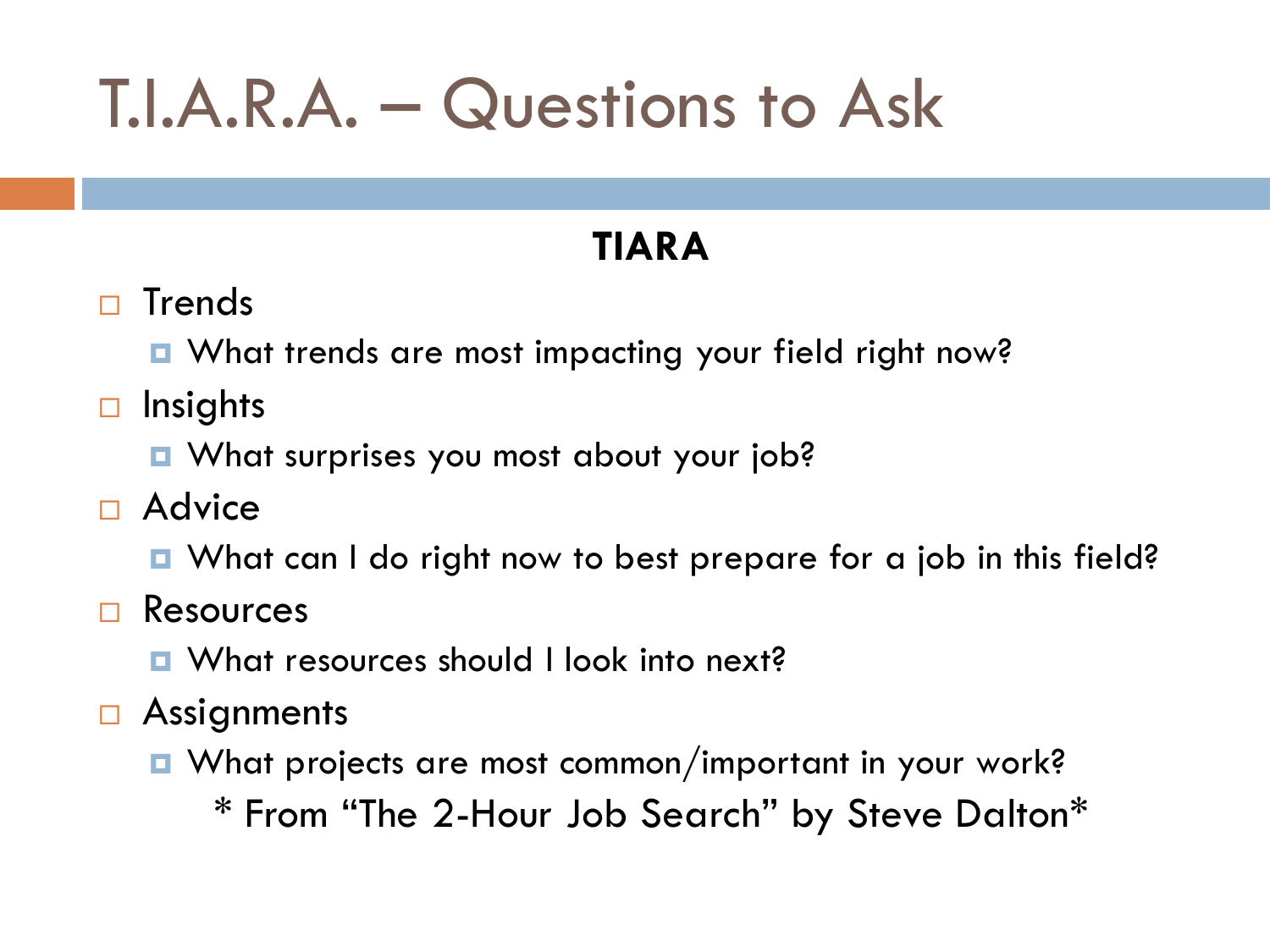# T.I.A.R.A. – Questions to Ask

#### **TIARA**

- $\Box$  Trends
	- **E** What trends are most impacting your field right now?
- $\Box$  Insights
	- What surprises you most about your job?
- $\Box$  Advice
	- What can I do right now to best prepare for a job in this field?
- Resources
	- **E** What resources should I look into next?
- **□ Assignments** 
	- What projects are most common/important in your work?

\* From "The 2-Hour Job Search" by Steve Dalton\*